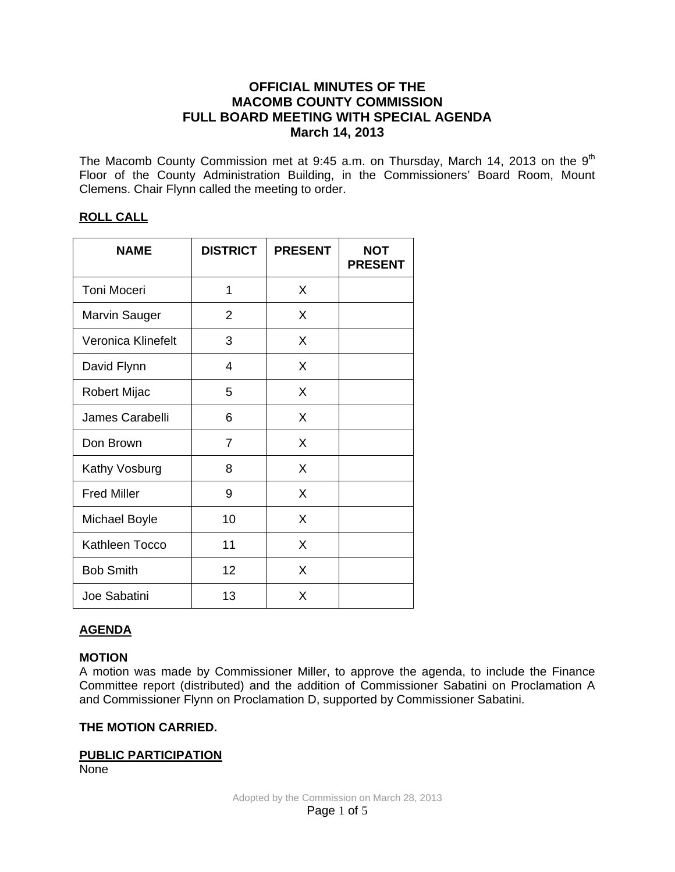# **OFFICIAL MINUTES OF THE MACOMB COUNTY COMMISSION FULL BOARD MEETING WITH SPECIAL AGENDA March 14, 2013**

The Macomb County Commission met at 9:45 a.m. on Thursday, March 14, 2013 on the  $9<sup>th</sup>$ Floor of the County Administration Building, in the Commissioners' Board Room, Mount Clemens. Chair Flynn called the meeting to order.

# **ROLL CALL**

| <b>NAME</b>               | <b>DISTRICT</b> | <b>PRESENT</b> | <b>NOT</b><br><b>PRESENT</b> |
|---------------------------|-----------------|----------------|------------------------------|
| Toni Moceri               | 1               | X              |                              |
| Marvin Sauger             | 2               | X              |                              |
| <b>Veronica Klinefelt</b> | 3               | X              |                              |
| David Flynn               | 4               | X              |                              |
| <b>Robert Mijac</b>       | 5               | X              |                              |
| James Carabelli           | 6               | X              |                              |
| Don Brown                 | 7               | X              |                              |
| Kathy Vosburg             | 8               | X              |                              |
| <b>Fred Miller</b>        | 9               | X              |                              |
| <b>Michael Boyle</b>      | 10              | X              |                              |
| Kathleen Tocco            | 11              | X              |                              |
| <b>Bob Smith</b>          | 12              | X              |                              |
| Joe Sabatini              | 13              | X              |                              |

# **AGENDA**

# **MOTION**

A motion was made by Commissioner Miller, to approve the agenda, to include the Finance Committee report (distributed) and the addition of Commissioner Sabatini on Proclamation A and Commissioner Flynn on Proclamation D, supported by Commissioner Sabatini.

# **THE MOTION CARRIED.**

# **PUBLIC PARTICIPATION**

None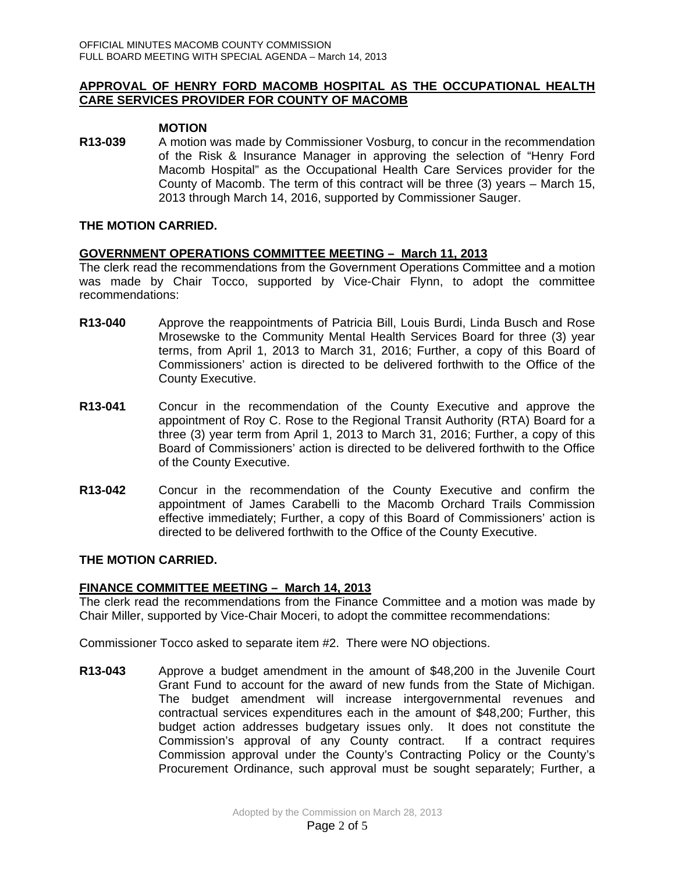### **APPROVAL OF HENRY FORD MACOMB HOSPITAL AS THE OCCUPATIONAL HEALTH CARE SERVICES PROVIDER FOR COUNTY OF MACOMB**

### **MOTION**

**R13-039** A motion was made by Commissioner Vosburg, to concur in the recommendation of the Risk & Insurance Manager in approving the selection of "Henry Ford Macomb Hospital" as the Occupational Health Care Services provider for the County of Macomb. The term of this contract will be three (3) years – March 15, 2013 through March 14, 2016, supported by Commissioner Sauger.

### **THE MOTION CARRIED.**

### **GOVERNMENT OPERATIONS COMMITTEE MEETING – March 11, 2013**

The clerk read the recommendations from the Government Operations Committee and a motion was made by Chair Tocco, supported by Vice-Chair Flynn, to adopt the committee recommendations:

- **R13-040** Approve the reappointments of Patricia Bill, Louis Burdi, Linda Busch and Rose Mrosewske to the Community Mental Health Services Board for three (3) year terms, from April 1, 2013 to March 31, 2016; Further, a copy of this Board of Commissioners' action is directed to be delivered forthwith to the Office of the County Executive.
- **R13-041** Concur in the recommendation of the County Executive and approve the appointment of Roy C. Rose to the Regional Transit Authority (RTA) Board for a three (3) year term from April 1, 2013 to March 31, 2016; Further, a copy of this Board of Commissioners' action is directed to be delivered forthwith to the Office of the County Executive.
- **R13-042** Concur in the recommendation of the County Executive and confirm the appointment of James Carabelli to the Macomb Orchard Trails Commission effective immediately; Further, a copy of this Board of Commissioners' action is directed to be delivered forthwith to the Office of the County Executive.

### **THE MOTION CARRIED.**

### **FINANCE COMMITTEE MEETING – March 14, 2013**

The clerk read the recommendations from the Finance Committee and a motion was made by Chair Miller, supported by Vice-Chair Moceri, to adopt the committee recommendations:

Commissioner Tocco asked to separate item #2. There were NO objections.

**R13-043** Approve a budget amendment in the amount of \$48,200 in the Juvenile Court Grant Fund to account for the award of new funds from the State of Michigan. The budget amendment will increase intergovernmental revenues and contractual services expenditures each in the amount of \$48,200; Further, this budget action addresses budgetary issues only. It does not constitute the Commission's approval of any County contract. If a contract requires Commission approval under the County's Contracting Policy or the County's Procurement Ordinance, such approval must be sought separately; Further, a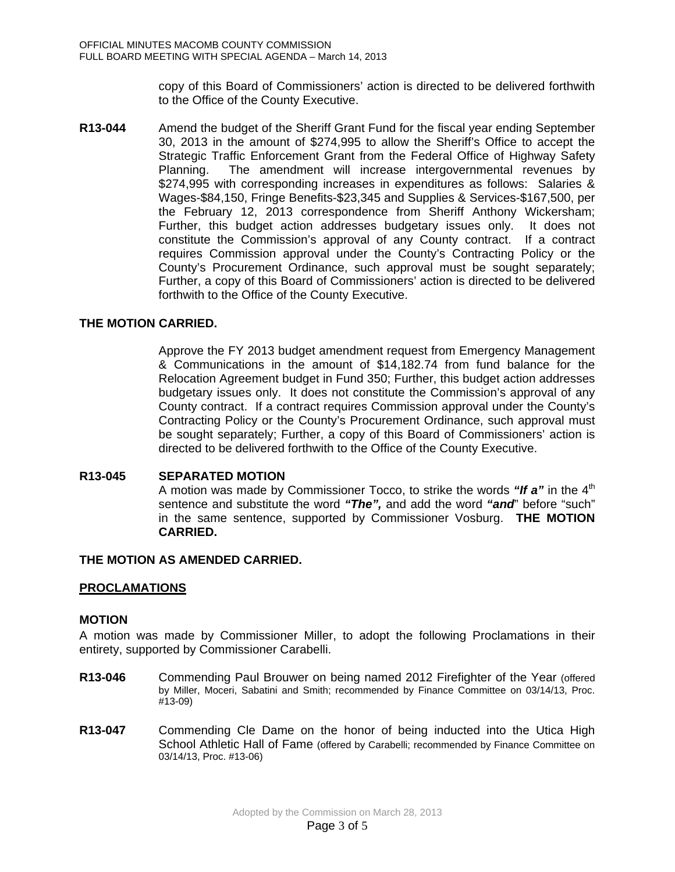copy of this Board of Commissioners' action is directed to be delivered forthwith to the Office of the County Executive.

**R13-044** Amend the budget of the Sheriff Grant Fund for the fiscal year ending September 30, 2013 in the amount of \$274,995 to allow the Sheriff's Office to accept the Strategic Traffic Enforcement Grant from the Federal Office of Highway Safety Planning. The amendment will increase intergovernmental revenues by \$274,995 with corresponding increases in expenditures as follows: Salaries & Wages-\$84,150, Fringe Benefits-\$23,345 and Supplies & Services-\$167,500, per the February 12, 2013 correspondence from Sheriff Anthony Wickersham; Further, this budget action addresses budgetary issues only. It does not constitute the Commission's approval of any County contract. If a contract requires Commission approval under the County's Contracting Policy or the County's Procurement Ordinance, such approval must be sought separately; Further, a copy of this Board of Commissioners' action is directed to be delivered forthwith to the Office of the County Executive.

# **THE MOTION CARRIED.**

Approve the FY 2013 budget amendment request from Emergency Management & Communications in the amount of \$14,182.74 from fund balance for the Relocation Agreement budget in Fund 350; Further, this budget action addresses budgetary issues only. It does not constitute the Commission's approval of any County contract. If a contract requires Commission approval under the County's Contracting Policy or the County's Procurement Ordinance, such approval must be sought separately; Further, a copy of this Board of Commissioners' action is directed to be delivered forthwith to the Office of the County Executive.

# **R13-045 SEPARATED MOTION**

A motion was made by Commissioner Tocco, to strike the words "If a" in the 4<sup>th</sup> sentence and substitute the word *"The",* and add the word *"and*" before "such" in the same sentence, supported by Commissioner Vosburg. **THE MOTION CARRIED.** 

# **THE MOTION AS AMENDED CARRIED.**

# **PROCLAMATIONS**

### **MOTION**

A motion was made by Commissioner Miller, to adopt the following Proclamations in their entirety, supported by Commissioner Carabelli.

- **R13-046** Commending Paul Brouwer on being named 2012 Firefighter of the Year (offered by Miller, Moceri, Sabatini and Smith; recommended by Finance Committee on 03/14/13, Proc. #13-09)
- **R13-047** Commending Cle Dame on the honor of being inducted into the Utica High School Athletic Hall of Fame (offered by Carabelli; recommended by Finance Committee on 03/14/13, Proc. #13-06)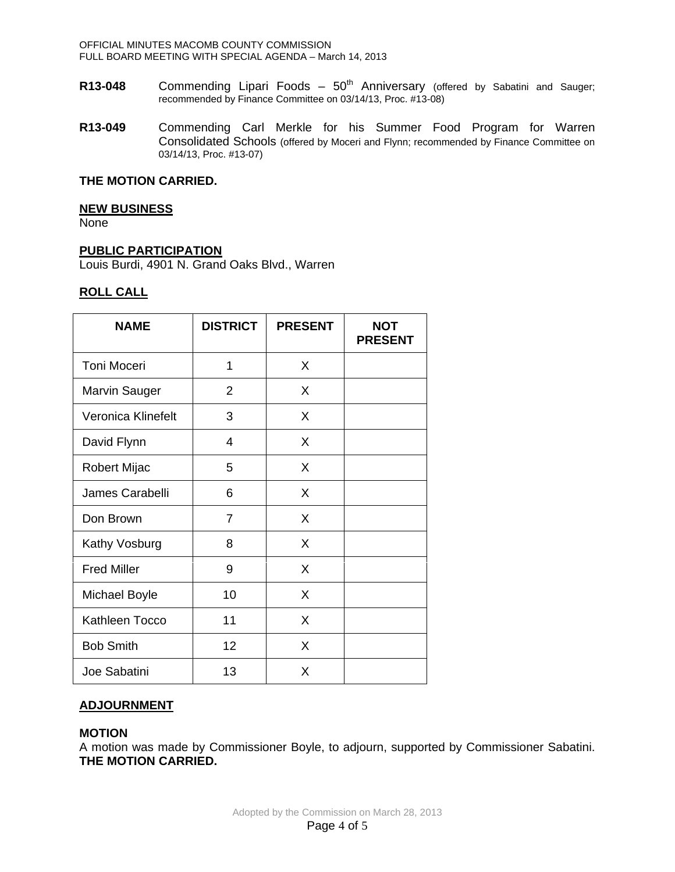OFFICIAL MINUTES MACOMB COUNTY COMMISSION FULL BOARD MEETING WITH SPECIAL AGENDA – March 14, 2013

- **R13-048** Commending Lipari Foods 50<sup>th</sup> Anniversary (offered by Sabatini and Sauger; recommended by Finance Committee on 03/14/13, Proc. #13-08)
- **R13-049** Commending Carl Merkle for his Summer Food Program for Warren Consolidated Schools (offered by Moceri and Flynn; recommended by Finance Committee on 03/14/13, Proc. #13-07)

### **THE MOTION CARRIED.**

#### **NEW BUSINESS**

None

### **PUBLIC PARTICIPATION**

Louis Burdi, 4901 N. Grand Oaks Blvd., Warren

### **ROLL CALL**

| <b>NAME</b>          | <b>DISTRICT</b> | <b>PRESENT</b> | NOT<br><b>PRESENT</b> |
|----------------------|-----------------|----------------|-----------------------|
| Toni Moceri          | 1               | X              |                       |
| <b>Marvin Sauger</b> | 2               | X              |                       |
| Veronica Klinefelt   | 3               | X              |                       |
| David Flynn          | $\overline{4}$  | X              |                       |
| Robert Mijac         | 5               | X              |                       |
| James Carabelli      | 6               | X              |                       |
| Don Brown            | $\overline{7}$  | X              |                       |
| Kathy Vosburg        | 8               | X              |                       |
| <b>Fred Miller</b>   | 9               | X              |                       |
| <b>Michael Boyle</b> | 10              | X              |                       |
| Kathleen Tocco       | 11              | X              |                       |
| <b>Bob Smith</b>     | 12              | X              |                       |
| Joe Sabatini         | 13              | X              |                       |

# **ADJOURNMENT**

### **MOTION**

A motion was made by Commissioner Boyle, to adjourn, supported by Commissioner Sabatini. **THE MOTION CARRIED.**